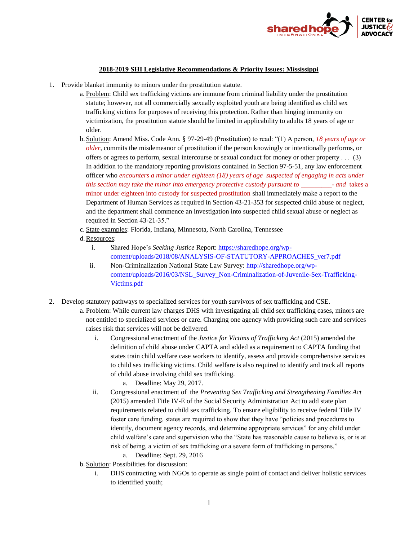

## **2018-2019 SHI Legislative Recommendations & Priority Issues: Mississippi**

- 1. Provide blanket immunity to minors under the prostitution statute.
	- a. Problem: Child sex trafficking victims are immune from criminal liability under the prostitution statute; however, not all commercially sexually exploited youth are being identified as child sex trafficking victims for purposes of receiving this protection. Rather than hinging immunity on victimization, the prostitution statute should be limited in applicability to adults 18 years of age or older.
	- b. Solution: Amend Miss. Code Ann. § 97-29-49 (Prostitution) to read: "(1) A person, *18 years of age or older*, commits the misdemeanor of prostitution if the person knowingly or intentionally performs, or offers or agrees to perform, sexual intercourse or sexual conduct for money or other property . . . (3) In addition to the mandatory reporting provisions contained in Section 97-5-51, any law enforcement officer who *encounters a minor under eighteen (18) years of age suspected of engaging in acts under this section may take the minor into emergency protective custody pursuant to \_\_\_\_\_\_\_\_\_- and* takes a minor under eighteen into custody for suspected prostitution shall immediately make a report to the Department of Human Services as required in Section 43-21-353 for suspected child abuse or neglect, and the department shall commence an investigation into suspected child sexual abuse or neglect as required in Section 43-21-35."
	- c. State examples: Florida, Indiana, Minnesota, North Carolina, Tennessee
	- d.Resources:
		- i. Shared Hope's *Seeking Justice* Report: [https://sharedhope.org/wp](https://sharedhope.org/wp-content/uploads/2018/08/ANALYSIS-OF-STATUTORY-APPROACHES_ver7.pdf)[content/uploads/2018/08/ANALYSIS-OF-STATUTORY-APPROACHES\\_ver7.pdf](https://sharedhope.org/wp-content/uploads/2018/08/ANALYSIS-OF-STATUTORY-APPROACHES_ver7.pdf)
		- ii. Non-Criminalization National State Law Survey: [http://sharedhope.org/wp](http://sharedhope.org/wp-content/uploads/2016/03/NSL_Survey_Non-Criminalization-of-Juvenile-Sex-Trafficking-Victims.pdf)[content/uploads/2016/03/NSL\\_Survey\\_Non-Criminalization-of-Juvenile-Sex-Trafficking-](http://sharedhope.org/wp-content/uploads/2016/03/NSL_Survey_Non-Criminalization-of-Juvenile-Sex-Trafficking-Victims.pdf)[Victims.pdf](http://sharedhope.org/wp-content/uploads/2016/03/NSL_Survey_Non-Criminalization-of-Juvenile-Sex-Trafficking-Victims.pdf)
- 2. Develop statutory pathways to specialized services for youth survivors of sex trafficking and CSE.
	- a. Problem: While current law charges DHS with investigating all child sex trafficking cases, minors are not entitled to specialized services or care. Charging one agency with providing such care and services raises risk that services will not be delivered.
		- i. Congressional enactment of the *Justice for Victims of Trafficking Act* (2015) amended the definition of child abuse under CAPTA and added as a requirement to CAPTA funding that states train child welfare case workers to identify, assess and provide comprehensive services to child sex trafficking victims. Child welfare is also required to identify and track all reports of child abuse involving child sex trafficking.
			- a. Deadline: May 29, 2017.
		- ii. Congressional enactment of the *Preventing Sex Trafficking and Strengthening Families Act* (2015) amended Title IV-E of the Social Security Administration Act to add state plan requirements related to child sex trafficking. To ensure eligibility to receive federal Title IV foster care funding, states are required to show that they have "policies and procedures to identify, document agency records, and determine appropriate services" for any child under child welfare's care and supervision who the "State has reasonable cause to believe is, or is at risk of being, a victim of sex trafficking or a severe form of trafficking in persons."
			- a. Deadline: Sept. 29, 2016
	- b. Solution: Possibilities for discussion:
		- i. DHS contracting with NGOs to operate as single point of contact and deliver holistic services to identified youth;